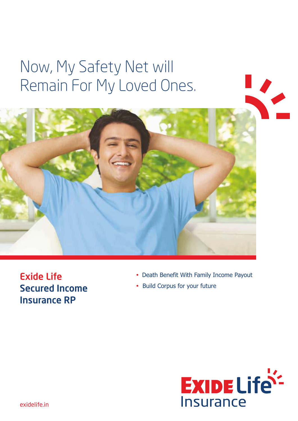# Now, My Safety Net will Remain For My Loved Ones.



Exide Life Secured Income Insurance RP

- Death Benefit With Family Income Payout
- Build Corpus for your future

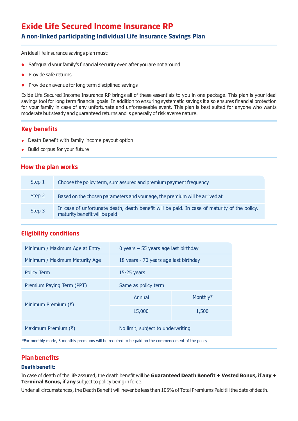## **Exide Life Secured Income Insurance RP A non-linked participating Individual Life Insurance Savings Plan**

An ideal life insurance savings plan must:

- Safeguard your family's financial security even after you are not around
- Provide safe returns
- Provide an avenue for long term disciplined savings

Exide Life Secured Income Insurance RP brings all of these essentials to you in one package. This plan is your ideal savings tool for long term financial goals. In addition to ensuring systematic savings it also ensures financial protection for your family in case of any unfortunate and unforeseeable event. This plan is best suited for anyone who wants moderate but steady and guaranteed returns and is generally of risk averse nature.

## **Key benefits**

- Death Benefit with family income payout option
- Build corpus for your future

## **How the plan works**

| Step 1 | Choose the policy term, sum assured and premium payment frequency                                                              |
|--------|--------------------------------------------------------------------------------------------------------------------------------|
| Step 2 | Based on the chosen parameters and your age, the premium will be arrived at                                                    |
| Step 3 | In case of unfortunate death, death benefit will be paid. In case of maturity of the policy,<br>maturity benefit will be paid. |

## **Eligibility conditions**

| Minimum / Maximum Age at Entry | 0 years $-55$ years age last birthday |       |  |  |  |
|--------------------------------|---------------------------------------|-------|--|--|--|
| Minimum / Maximum Maturity Age | 18 years - 70 years age last birthday |       |  |  |  |
| <b>Policy Term</b>             | $15-25$ years                         |       |  |  |  |
| Premium Paying Term (PPT)      | Same as policy term                   |       |  |  |  |
| Minimum Premium $(\bar{x})$    | Monthly*<br>Annual                    |       |  |  |  |
|                                | 15,000                                | 1,500 |  |  |  |
| Maximum Premium (₹)            | No limit, subject to underwriting     |       |  |  |  |

\*For monthly mode, 3 monthly premiums will be required to be paid on the commencement of the policy

## **Plan benefits**

#### **Death benefit:**

In case of death of the life assured, the death benefit will be **Guaranteed Death Benefit + Vested Bonus, if any + Terminal Bonus, if any** subject to policy being in force.

Under all circumstances, the Death Benefit will never be less than 105% of Total Premiums Paid till the date of death.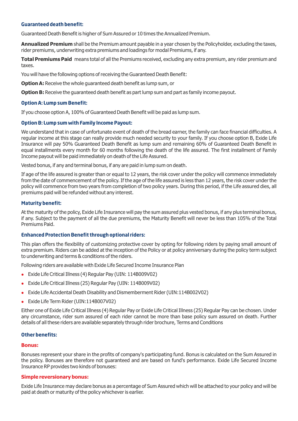#### **Guaranteed death benefit:**

Guaranteed Death Benefit is higher of Sum Assured or 10 times the Annualized Premium.

**Annualized Premium** shall be the Premium amount payable in a year chosen by the Policyholder, excluding the taxes, rider premiums, underwriting extra premiums and loadings for modal Premiums, if any.

**Total Premiums Paid** means total of all the Premiums received, excluding any extra premium, any rider premium and taxes.

You will have the following options of receiving the Guaranteed Death Benefit:

**Option A:** Receive the whole guaranteed death benefit as lump sum, or

**Option B:** Receive the guaranteed death benefit as part lump sum and part as family income payout.

#### **Option A: Lump sum Benefit:**

If you choose option A, 100% of Guaranteed Death Benefit will be paid as lump sum.

#### **Option B: Lump sum with Family Income Payout:**

We understand that in case of unfortunate event of death of the bread earner, the family can face financial difficulties. A regular income at this stage can really provide much needed security to your family. If you choose option B, Exide Life Insurance will pay 50% Guaranteed Death Benefit as lump sum and remaining 60% of Guaranteed Death Benefit in equal installments every month for 60 months following the death of the life assured. The first installment of Family Income payout will be paid immediately on death of the Life Assured.

Vested bonus, if any and terminal bonus, if any are paid in lump sum on death.

If age of the life assured is greater than or equal to 12 years, the risk cover under the policy will commence immediately from the date of commencement of the policy. If the age of the life assured is less than 12 years, the risk cover under the policy will commence from two years from completion of two policy years. During this period, if the Life assured dies, all premiums paid will be refunded without any interest.

#### **Maturity benefit:**

At the maturity of the policy, Exide Life Insurance will pay the sum assured plus vested bonus, if any plus terminal bonus, if any. Subject to the payment of all the due premiums, the Maturity Benefit will never be less than 105% of the Total Premiums Paid.

#### **Enhanced Protection Benefit through optional riders:**

This plan offers the flexibility of customizing protective cover by opting for following riders by paying small amount of extra premium. Riders can be added at the inception of the Policy or at policy anniversary during the policy term subject to underwriting and terms & conditions of the riders.

Following riders are available with Exide Life Secured Income Insurance Plan

- Exide Life Critical Illness (4) Regular Pay (UIN: 114B009V02)
- Exide Life Critical Illness (25) Regular Pay (UIN: 114B009V02)
- Exide Life Accidental Death Disability and Dismemberment Rider (UIN:114B002V02)
- <sup>l</sup> Exide Life Term Rider (UIN:114B007V02)

Either one of Exide Life Critical Illness (4) Regular Pay or Exide Life Critical Illness (25) Regular Pay can be chosen. Under any circumstance, rider sum assured of each rider cannot be more than base policy sum assured on death. Further details of all these riders are available separately through rider brochure, Terms and Conditions

#### **Other benefits:**

#### **Bonus:**

Bonuses represent your share in the profits of company's participating fund. Bonus is calculated on the Sum Assured in the policy. Bonuses are therefore not guaranteed and are based on fund's performance. Exide Life Secured Income Insurance RP provides two kinds of bonuses:

#### **Simple reversionary bonus:**

Exide Life Insurance may declare bonus as a percentage of Sum Assured which will be attached to your policy and will be paid at death or maturity of the policy whichever is earlier.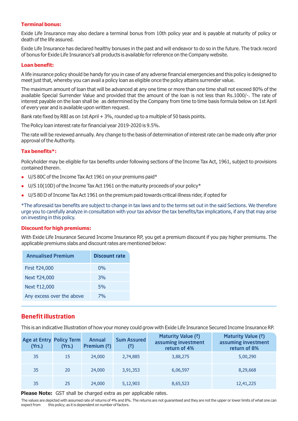#### **Terminal bonus:**

Exide Life Insurance may also declare a terminal bonus from 10th policy year and is payable at maturity of policy or death of the life assured.

Exide Life Insurance has declared healthy bonuses in the past and will endeavor to do so in the future. The track record of bonus for Exide Life Insurance's all products is available for reference on the Company website.

#### **Loan benefit:**

A life insurance policy should be handy for you in case of any adverse financial emergencies and this policy is designed to meet just that, whereby you can avail a policy loan as eligible once the policy attains surrender value.

The maximum amount of loan that will be advanced at any one time or more than one time shall not exceed 80% of the available Special Surrender Value and provided that the amount of the loan is not less than Rs.1000/-. The rate of interest payable on the loan shall be as determined by the Company from time to time basis formula below on 1st April of every year and is available upon written request.

Bank rate fixed by RBI as on 1st April + 3%, rounded up to a multiple of 50 basis points.

The Policy loan interest rate for financial year 2019-2020 is 9.5%.

The rate will be reviewed annually. Any change to the basis of determination of interest rate can be made only after prior approval of the Authority.

#### **Tax benefits\*:**

Policyholder may be eligible for tax benefits under following sections of the Income Tax Act, 1961, subject to provisions contained therein.

- $\bullet$  U/S 80C of the Income Tax Act 1961 on your premiums paid\*
- $\bullet$  U/S 10(10D) of the Income Tax Act 1961 on the maturity proceeds of your policy\*
- l U/S 80 D of Income Tax Act 1961 on the premium paid towards critical illness rider, if opted for

\*The aforesaid tax benefits are subject to change in tax laws and to the terms set out in the said Sections. We therefore urge you to carefully analyze in consultation with your tax advisor the tax benefits/tax implications, if any that may arise on investing in this policy.

#### **Discount for high premiums:**

With Exide Life Insurance Secured Income Insurance RP, you get a premium discount if you pay higher premiums. The applicable premiums slabs and discount rates are mentioned below:

| <b>Annualised Premium</b> | <b>Discount rate</b> |
|---------------------------|----------------------|
| First ₹24,000             | $0\%$                |
| Next ₹24,000              | 3%                   |
| Next ₹12,000              | 5%                   |
| Any excess over the above | 7%                   |
|                           |                      |

## **Benefit illustration**

This is an indicative Illustration of how your money could grow with Exide Life Insurance Secured Income Insurance RP.

| <b>Age at Entry Policy Term</b><br>(Yrs.) | (Yrs.) | Annual<br>Premium $(\bar{z})$ | <b>Sum Assured</b><br>(₹) | Maturity Value $(3)$<br>assuming investment<br>return of 4% | Maturity Value (₹)<br>assuming investment<br>return of 8% |
|-------------------------------------------|--------|-------------------------------|---------------------------|-------------------------------------------------------------|-----------------------------------------------------------|
| 35                                        | 15     | 24,000                        | 2,74,885                  | 3,88,275                                                    | 5,00,290                                                  |
| 35                                        | 20     | 24,000                        | 3,91,353                  | 6,06,597                                                    | 8,29,668                                                  |
| 35                                        | 25     | 24,000                        | 5,12,903                  | 8,65,523                                                    | 12,41,225                                                 |

**Please Note:** GST shall be charged extra as per applicable rates.

The values are depicted with assumed rate of returns of 4% and 8%. The returns are not guaranteed and they are not the upper or lower limits of what one can expect from this policy; as it is dependent on number of factors.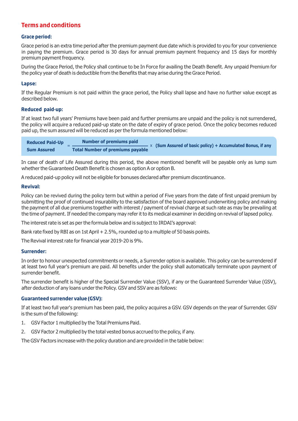## **Terms and conditions**

#### **Grace period:**

Grace period is an extra time period after the premium payment due date which is provided to you for your convenience in paying the premium. Grace period is 30 days for annual premium payment frequency and 15 days for monthly premium payment frequency.

During the Grace Period, the Policy shall continue to be In Force for availing the Death Benefit. Any unpaid Premium for the policy year of death is deductible from the Benefits that may arise during the Grace Period.

#### **Lapse:**

If the Regular Premium is not paid within the grace period, the Policy shall lapse and have no further value except as described below.

#### **Reduced paid-up:**

If at least two full years' Premiums have been paid and further premiums are unpaid and the policy is not surrendered, the policy will acquire a reduced paid-up state on the date of expiry of grace period. Once the policy becomes reduced paid up, the sum assured will be reduced as per the formula mentioned below:

| <b>Reduced Paid-Up</b> | Number of premiums paid                 |  | $\times$ (Sum Assured of basic policy) + Accumulated Bonus, if any |
|------------------------|-----------------------------------------|--|--------------------------------------------------------------------|
| <b>Sum Assured</b>     | <b>Total Number of premiums payable</b> |  |                                                                    |

In case of death of Life Assured during this period, the above mentioned benefit will be payable only as lump sum whether the Guaranteed Death Benefit is chosen as option A or option B.

A reduced paid-up policy will not be eligible for bonuses declared after premium discontinuance.

#### **Revival:**

Policy can be revived during the policy term but within a period of Five years from the date of first unpaid premium by submitting the proof of continued insurability to the satisfaction of the board approved underwriting policy and making the payment of all due premiums together with interest / payment of revival charge at such rate as may be prevailing at the time of payment. If needed the company may refer it to its medical examiner in deciding on revival of lapsed policy.

The interest rate is set as per the formula below and is subject to IRDAI's approval:

Bank rate fixed by RBI as on 1st April + 2.5%, rounded up to a multiple of 50 basis points.

The Revival interest rate for financial year 2019-20 is 9%.

#### **Surrender:**

In order to honour unexpected commitments or needs, a Surrender option is available. This policy can be surrendered if at least two full year's premium are paid. All benefits under the policy shall automatically terminate upon payment of surrender benefit.

The surrender benefit is higher of the Special Surrender Value (SSV), if any or the Guaranteed Surrender Value (GSV), after deduction of any loans under the Policy. GSV and SSV are as follows:

#### **Guaranteed surrender value (GSV):**

If at least two full year's premium has been paid, the policy acquires a GSV. GSV depends on the year of Surrender. GSV is the sum of the following:

- 1. GSV Factor 1 multiplied by the Total Premiums Paid.
- 2. GSV Factor 2 multiplied by the total vested bonus accrued to the policy, if any.

The GSV Factors increase with the policy duration and are provided in the table below: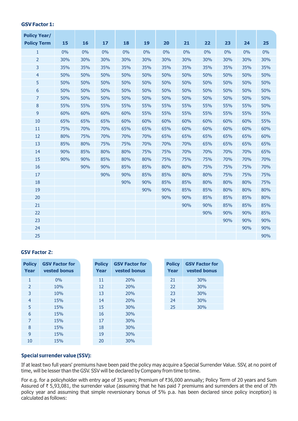#### **GSV Factor 1:**

| <b>Policy Year/</b> |     |     |     |     |     |     |     |     |     |     |     |
|---------------------|-----|-----|-----|-----|-----|-----|-----|-----|-----|-----|-----|
| <b>Policy Term</b>  | 15  | 16  | 17  | 18  | 19  | 20  | 21  | 22  | 23  | 24  | 25  |
| 1                   | 0%  | 0%  | 0%  | 0%  | 0%  | 0%  | 0%  | 0%  | 0%  | 0%  | 0%  |
| $\overline{2}$      | 30% | 30% | 30% | 30% | 30% | 30% | 30% | 30% | 30% | 30% | 30% |
| 3                   | 35% | 35% | 35% | 35% | 35% | 35% | 35% | 35% | 35% | 35% | 35% |
| $\overline{4}$      | 50% | 50% | 50% | 50% | 50% | 50% | 50% | 50% | 50% | 50% | 50% |
| 5                   | 50% | 50% | 50% | 50% | 50% | 50% | 50% | 50% | 50% | 50% | 50% |
| 6                   | 50% | 50% | 50% | 50% | 50% | 50% | 50% | 50% | 50% | 50% | 50% |
| $\overline{7}$      | 50% | 50% | 50% | 50% | 50% | 50% | 50% | 50% | 50% | 50% | 50% |
| $\bf 8$             | 55% | 55% | 55% | 55% | 55% | 55% | 55% | 55% | 55% | 55% | 50% |
| 9                   | 60% | 60% | 60% | 60% | 55% | 55% | 55% | 55% | 55% | 55% | 55% |
| 10                  | 65% | 65% | 65% | 60% | 60% | 60% | 60% | 60% | 60% | 60% | 55% |
| 11                  | 75% | 70% | 70% | 65% | 65% | 65% | 60% | 60% | 60% | 60% | 60% |
| 12                  | 80% | 75% | 70% | 70% | 70% | 65% | 65% | 65% | 65% | 65% | 60% |
| 13                  | 85% | 80% | 75% | 75% | 70% | 70% | 70% | 65% | 65% | 65% | 65% |
| 14                  | 90% | 85% | 80% | 80% | 75% | 75% | 70% | 70% | 70% | 70% | 65% |
| 15                  | 90% | 90% | 85% | 80% | 80% | 75% | 75% | 75% | 70% | 70% | 70% |
| 16                  |     | 90% | 90% | 85% | 85% | 80% | 80% | 75% | 75% | 75% | 70% |
| 17                  |     |     | 90% | 90% | 85% | 85% | 80% | 80% | 75% | 75% | 75% |
| 18                  |     |     |     | 90% | 90% | 85% | 85% | 80% | 80% | 80% | 75% |
| 19                  |     |     |     |     | 90% | 90% | 85% | 85% | 80% | 80% | 80% |
| 20                  |     |     |     |     |     | 90% | 90% | 85% | 85% | 85% | 80% |
| 21                  |     |     |     |     |     |     | 90% | 90% | 85% | 85% | 85% |
| 22                  |     |     |     |     |     |     |     | 90% | 90% | 90% | 85% |
| 23                  |     |     |     |     |     |     |     |     | 90% | 90% | 90% |
| 24                  |     |     |     |     |     |     |     |     |     | 90% | 90% |
| 25                  |     |     |     |     |     |     |     |     |     |     | 90% |

#### **GSV Factor 2:**

| <b>Policy</b><br>Year | <b>GSV Factor for</b><br>vested bonus | <b>Policy</b><br>Year | <b>GSV Factor for</b><br>vested bonus | <b>Policy</b><br>Year | <b>GSV Factor for</b><br>vested bonus |
|-----------------------|---------------------------------------|-----------------------|---------------------------------------|-----------------------|---------------------------------------|
| 1                     | 0%                                    | 11                    | 20%                                   | 21                    | 30%                                   |
| $\overline{2}$        | 10%                                   | 12                    | 20%                                   | 22                    | 30%                                   |
| 3                     | 10%                                   | 13                    | 20%                                   | 23                    | 30%                                   |
| $\overline{4}$        | 15%                                   | 14                    | 20%                                   | 24                    | 30%                                   |
| 5                     | 15%                                   | 15                    | 30%                                   | 25                    | 30%                                   |
| 6                     | 15%                                   | 16                    | 30%                                   |                       |                                       |
| $\overline{7}$        | 15%                                   | 17                    | 30%                                   |                       |                                       |
| 8                     | 15%                                   | 18                    | 30%                                   |                       |                                       |
| 9                     | 15%                                   | 19                    | 30%                                   |                       |                                       |
| 10                    | 15%                                   | 20                    | 30%                                   |                       |                                       |

#### **Special surrender value (SSV):**

If at least two full years' premiums have been paid the policy may acquire a Special Surrender Value. SSV, at no point of time, will be lesser than the GSV. SSV will be declared by Company from time to time.

For e.g. for a policyholder with entry age of 35 years; Premium of ₹36,000 annually; Policy Term of 20 years and Sum Assured of  $\bar{\tau}$  5,93,081, the surrender value (assuming that he has paid 7 premiums and surrenders at the end of 7th policy year and assuming that simple reversionary bonus of 5% p.a. has been declared since policy inception) is calculated as follows: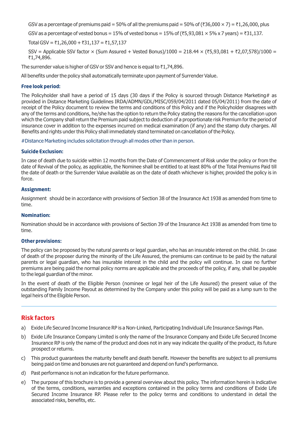GSV as a percentage of premiums paid = 50% of all the premiums paid = 50% of ( $\bar{\tau}$ 36,000 × 7) =  $\bar{\tau}$ 1,26,000, plus

GSV as a percentage of vested bonus = 15% of vested bonus = 15% of ( $\overline{\xi}$ 5,93,081  $\times$  5% x 7 years) =  $\overline{\xi}$ 31,137.

Total GSV = ₹1,26,000 + ₹31,137 = ₹1,57,137

SSV = Applicable SSV factor  $\times$  (Sum Assured + Vested Bonus)/1000 = 218.44  $\times$  (₹5,93,081 + ₹2,07,578)/1000 = ₹1,74,896.

The surrender value is higher of GSV or SSV and hence is equal to  $\bar{\tau}$ 1,74,896.

All benefits under the policy shall automatically terminate upon payment of Surrender Value.

#### **Free look period:**

The Policyholder shall have a period of 15 days (30 days if the Policy is sourced through Distance Marketing# as provided in Distance Marketing Guidelines IRDA/ADMN/GDL/MISC/059/04/2011 dated 05/04/2011) from the date of receipt of the Policy document to review the terms and conditions of this Policy and if the Policyholder disagrees with any of the terms and conditions, he/she has the option to return the Policy stating the reasons for the cancellation upon which the Company shall return the Premium paid subject to deduction of a proportionate risk Premium for the period of insurance cover in addition to the expenses incurred on medical examination (if any) and the stamp duty charges. All Benefits and rights under this Policy shall immediately stand terminated on cancellation of the Policy.

#Distance Marketing includes solicitation through all modes other than in person.

#### **Suicide Exclusion:**

In case of death due to suicide within 12 months from the Date of Commencement of Risk under the policy or from the date of Revival of the policy, as applicable, the Nominee shall be entitled to at least 80% of the Total Premiums Paid till the date of death or the Surrender Value available as on the date of death whichever is higher, provided the policy is in force.

#### **Assignment:**

Assignment should be in accordance with provisions of Section 38 of the Insurance Act 1938 as amended from time to time.

#### **Nomination:**

Nomination should be in accordance with provisions of Section 39 of the Insurance Act 1938 as amended from time to time.

#### **Other provisions:**

The policy can be proposed by the natural parents or legal guardian, who has an insurable interest on the child. In case of death of the proposer during the minority of the Life Assured, the premiums can continue to be paid by the natural parents or legal guardian, who has insurable interest in the child and the policy will continue. In case no further premiums are being paid the normal policy norms are applicable and the proceeds of the policy, if any, shall be payable to the legal guardian of the minor.

In the event of death of the Eligible Person (nominee or legal heir of the Life Assured) the present value of the outstanding Family Income Payout as determined by the Company under this policy will be paid as a lump sum to the legal heirs of the Eligible Person.

## **Risk factors**

- a) Exide Life Secured Income Insurance RP is a Non-Linked, Participating Individual Life Insurance Savings Plan.
- b) Exide Life Insurance Company Limited is only the name of the Insurance Company and Exide Life Secured Income Insurance RP is only the name of the product and does not in any way indicate the quality of the product, its future prospect or returns.
- c) This product guarantees the maturity benefit and death benefit. However the benefits are subject to all premiums being paid on time and bonuses are not guaranteed and depend on fund's performance.
- d) Past performance is not an indication for the future performance.
- e) The purpose of this brochure is to provide a general overview about this policy. The information herein is indicative of the terms, conditions, warranties and exceptions contained in the policy terms and conditions of Exide Life Secured Income Insurance RP. Please refer to the policy terms and conditions to understand in detail the associated risks, benefits, etc.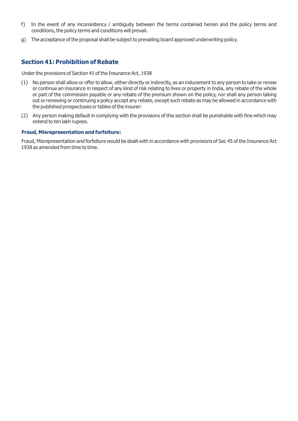- f) In the event of any inconsistency / ambiguity between the terms contained herein and the policy terms and conditions, the policy terms and conditions will prevail.
- g) The acceptance of the proposal shall be subject to prevailing board approved underwriting policy.

## **Section 41: Prohibition of Rebate**

Under the provisions of Section 41 of the Insurance Act, 1938

- (1) No person shall allow or offer to allow, either directly or indirectly, as an inducement to any person to take or renew or continue an insurance in respect of any kind of risk relating to lives or property in India, any rebate of the whole or part of the commission payable or any rebate of the premium shown on the policy, nor shall any person taking out or renewing or continuing a policy accept any rebate, except such rebate as may be allowed in accordance with the published prospectuses or tables of the insurer:
- (2) Any person making default in complying with the provisions of this section shall be punishable with fine which may extend to ten lakh rupees.

#### **Fraud, Misrepresentation and forfeiture:**

Fraud, Misrepresentation and forfeiture would be dealt with in accordance with provisions of Sec 45 of the Insurance Act 1938 as amended from time to time.